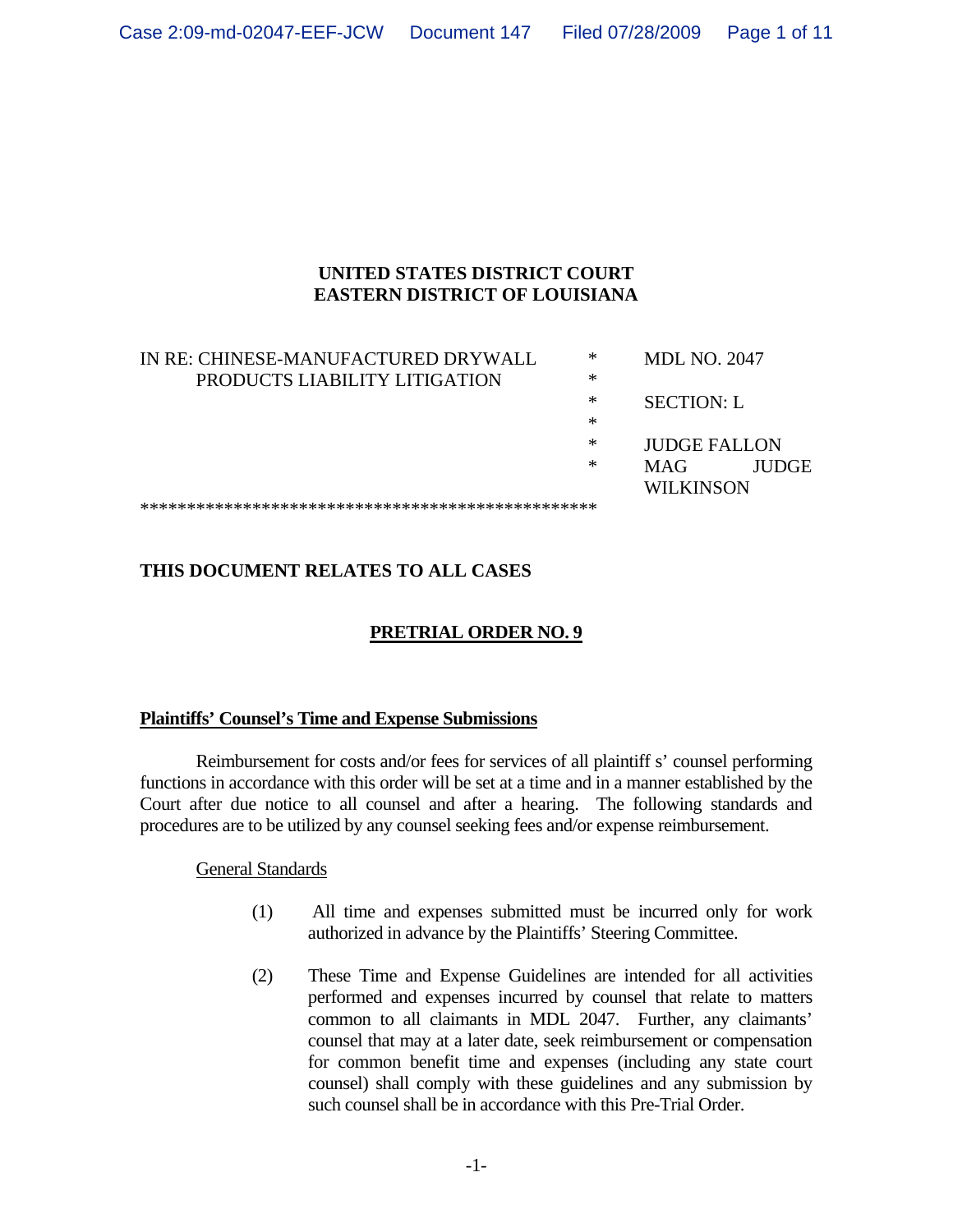### **UNITED STATES DISTRICT COURT EASTERN DISTRICT OF LOUISIANA**

| IN RE: CHINESE-MANUFACTURED DRYWALL | ∗ | <b>MDL NO. 2047</b> |              |  |
|-------------------------------------|---|---------------------|--------------|--|
| PRODUCTS LIABILITY LITIGATION       | ∗ |                     |              |  |
|                                     | ∗ | <b>SECTION: L</b>   |              |  |
|                                     | ∗ |                     |              |  |
|                                     | ∗ | <b>JUDGE FALLON</b> |              |  |
|                                     | ∗ | MAG                 | <b>IUDGE</b> |  |
|                                     |   | <b>WILKINSON</b>    |              |  |
|                                     |   |                     |              |  |

# **THIS DOCUMENT RELATES TO ALL CASES**

# **PRETRIAL ORDER NO. 9**

### **Plaintiffs' Counsel's Time and Expense Submissions**

 Reimbursement for costs and/or fees for services of all plaintiff s' counsel performing functions in accordance with this order will be set at a time and in a manner established by the Court after due notice to all counsel and after a hearing. The following standards and procedures are to be utilized by any counsel seeking fees and/or expense reimbursement.

General Standards

- (1) All time and expenses submitted must be incurred only for work authorized in advance by the Plaintiffs' Steering Committee.
- (2) These Time and Expense Guidelines are intended for all activities performed and expenses incurred by counsel that relate to matters common to all claimants in MDL 2047. Further, any claimants' counsel that may at a later date, seek reimbursement or compensation for common benefit time and expenses (including any state court counsel) shall comply with these guidelines and any submission by such counsel shall be in accordance with this Pre-Trial Order.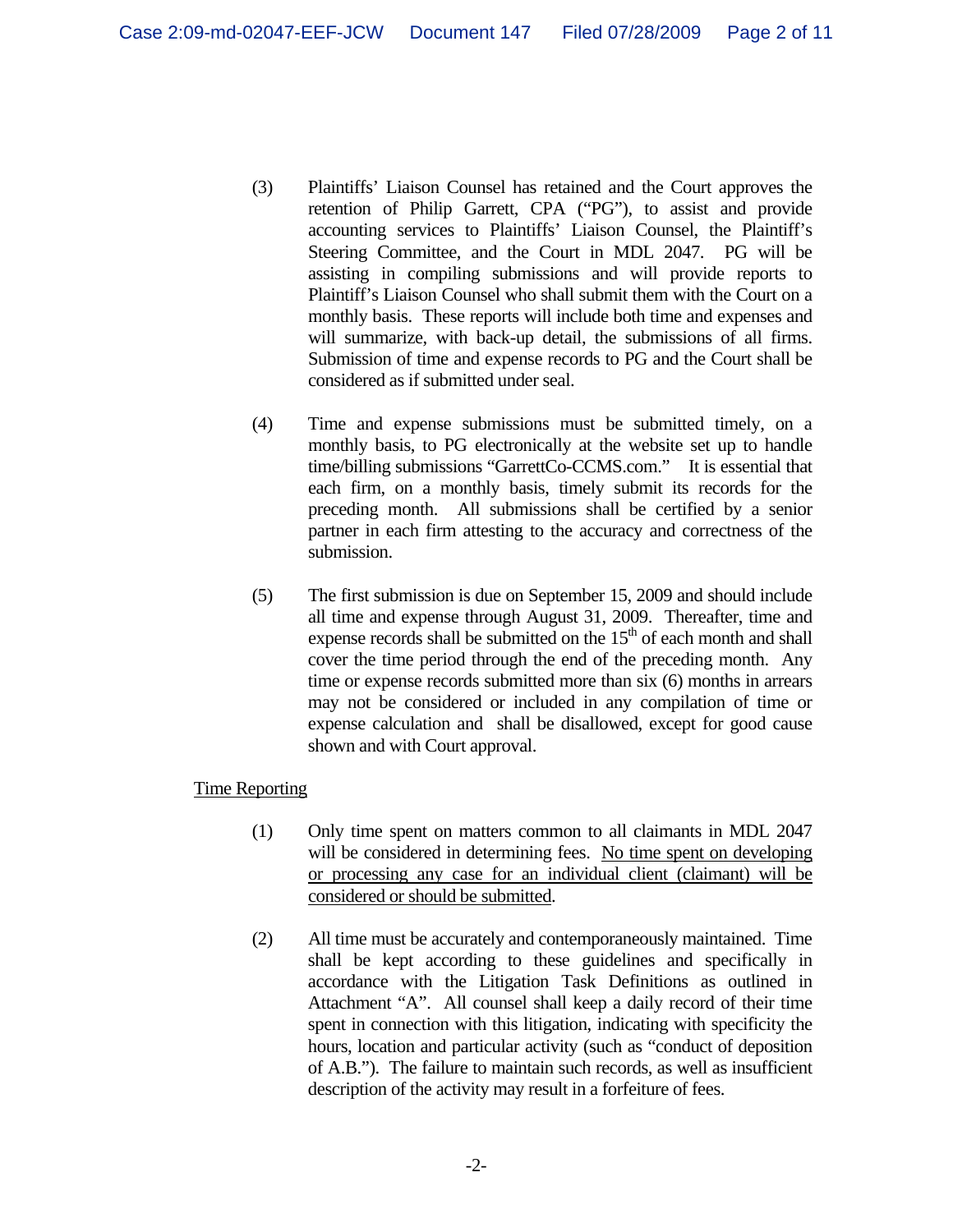- (3) Plaintiffs' Liaison Counsel has retained and the Court approves the retention of Philip Garrett, CPA ("PG"), to assist and provide accounting services to Plaintiffs' Liaison Counsel, the Plaintiff's Steering Committee, and the Court in MDL 2047. PG will be assisting in compiling submissions and will provide reports to Plaintiff's Liaison Counsel who shall submit them with the Court on a monthly basis. These reports will include both time and expenses and will summarize, with back-up detail, the submissions of all firms. Submission of time and expense records to PG and the Court shall be considered as if submitted under seal.
- (4) Time and expense submissions must be submitted timely, on a monthly basis, to PG electronically at the website set up to handle time/billing submissions "GarrettCo-CCMS.com." It is essential that each firm, on a monthly basis, timely submit its records for the preceding month. All submissions shall be certified by a senior partner in each firm attesting to the accuracy and correctness of the submission.
- (5) The first submission is due on September 15, 2009 and should include all time and expense through August 31, 2009. Thereafter, time and expense records shall be submitted on the  $15<sup>th</sup>$  of each month and shall cover the time period through the end of the preceding month. Any time or expense records submitted more than six (6) months in arrears may not be considered or included in any compilation of time or expense calculation and shall be disallowed, except for good cause shown and with Court approval.

### Time Reporting

- (1) Only time spent on matters common to all claimants in MDL 2047 will be considered in determining fees. No time spent on developing or processing any case for an individual client (claimant) will be considered or should be submitted.
- (2) All time must be accurately and contemporaneously maintained. Time shall be kept according to these guidelines and specifically in accordance with the Litigation Task Definitions as outlined in Attachment "A". All counsel shall keep a daily record of their time spent in connection with this litigation, indicating with specificity the hours, location and particular activity (such as "conduct of deposition of A.B."). The failure to maintain such records, as well as insufficient description of the activity may result in a forfeiture of fees.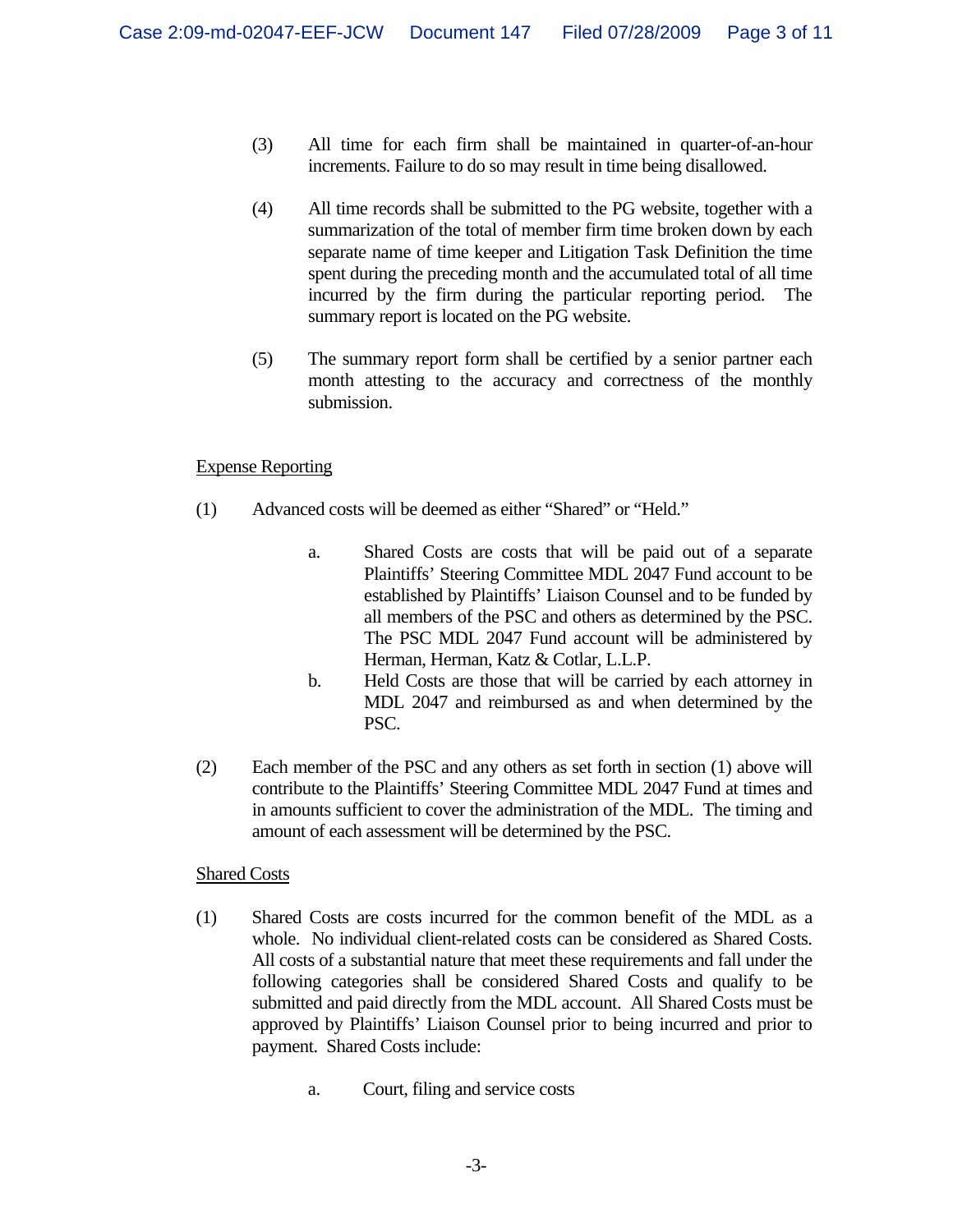- (3) All time for each firm shall be maintained in quarter-of-an-hour increments. Failure to do so may result in time being disallowed.
- (4) All time records shall be submitted to the PG website, together with a summarization of the total of member firm time broken down by each separate name of time keeper and Litigation Task Definition the time spent during the preceding month and the accumulated total of all time incurred by the firm during the particular reporting period. The summary report is located on the PG website.
- (5) The summary report form shall be certified by a senior partner each month attesting to the accuracy and correctness of the monthly submission.

### Expense Reporting

- (1) Advanced costs will be deemed as either "Shared" or "Held."
	- a. Shared Costs are costs that will be paid out of a separate Plaintiffs' Steering Committee MDL 2047 Fund account to be established by Plaintiffs' Liaison Counsel and to be funded by all members of the PSC and others as determined by the PSC. The PSC MDL 2047 Fund account will be administered by Herman, Herman, Katz & Cotlar, L.L.P.
	- b. Held Costs are those that will be carried by each attorney in MDL 2047 and reimbursed as and when determined by the PSC.
- (2) Each member of the PSC and any others as set forth in section (1) above will contribute to the Plaintiffs' Steering Committee MDL 2047 Fund at times and in amounts sufficient to cover the administration of the MDL. The timing and amount of each assessment will be determined by the PSC.

### Shared Costs

- (1) Shared Costs are costs incurred for the common benefit of the MDL as a whole. No individual client-related costs can be considered as Shared Costs. All costs of a substantial nature that meet these requirements and fall under the following categories shall be considered Shared Costs and qualify to be submitted and paid directly from the MDL account. All Shared Costs must be approved by Plaintiffs' Liaison Counsel prior to being incurred and prior to payment. Shared Costs include:
	- a. Court, filing and service costs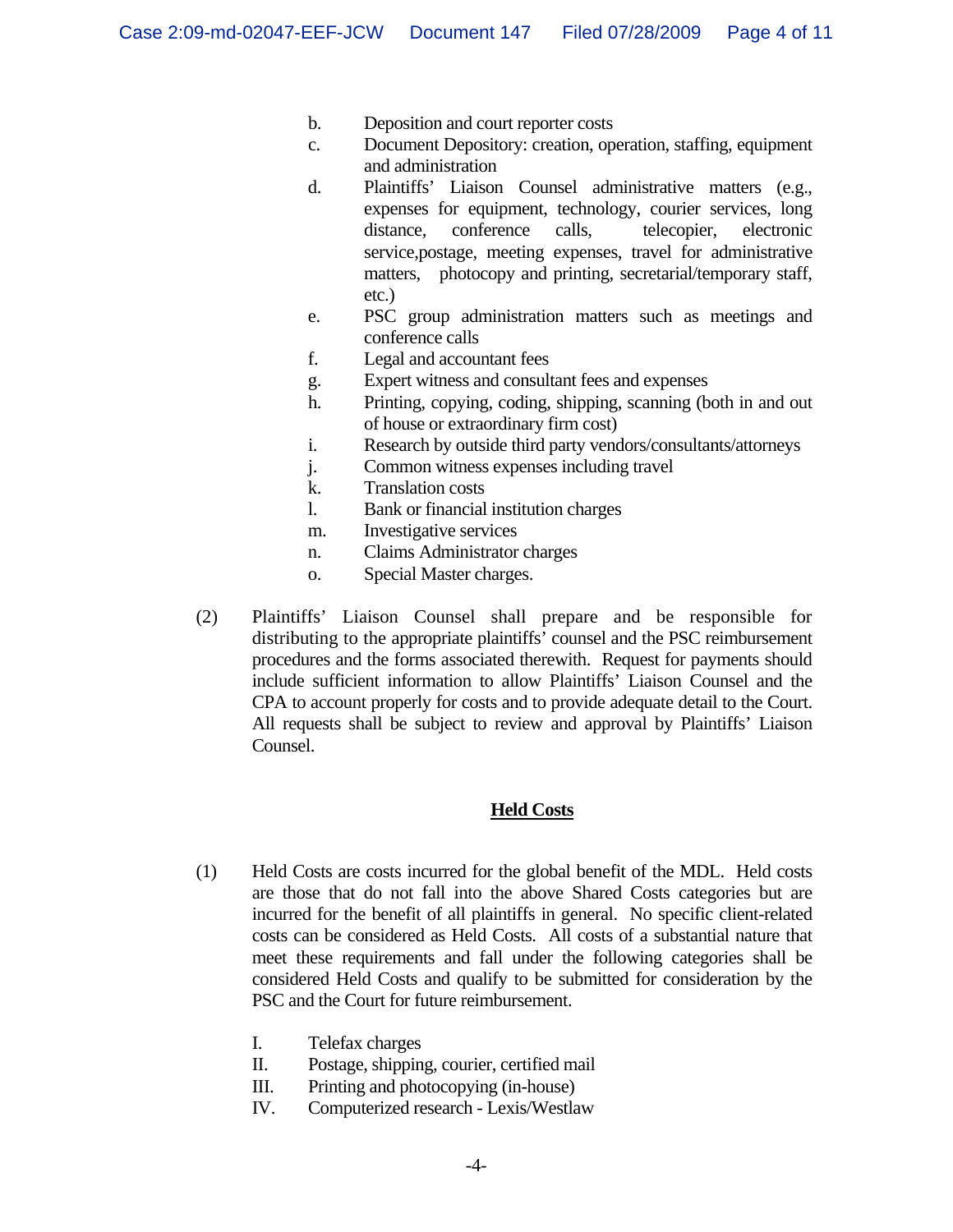- b. Deposition and court reporter costs
- c. Document Depository: creation, operation, staffing, equipment and administration
- d. Plaintiffs' Liaison Counsel administrative matters (e.g., expenses for equipment, technology, courier services, long distance, conference calls, telecopier, electronic service,postage, meeting expenses, travel for administrative matters, photocopy and printing, secretarial/temporary staff, etc.)
- e. PSC group administration matters such as meetings and conference calls
- f. Legal and accountant fees
- g. Expert witness and consultant fees and expenses
- h. Printing, copying, coding, shipping, scanning (both in and out of house or extraordinary firm cost)
- i. Research by outside third party vendors/consultants/attorneys
- j. Common witness expenses including travel
- k. Translation costs
- l. Bank or financial institution charges
- m. Investigative services
- n. Claims Administrator charges
- o. Special Master charges.
- (2)Plaintiffs' Liaison Counsel shall prepare and be responsible for distributing to the appropriate plaintiffs' counsel and the PSC reimbursement procedures and the forms associated therewith. Request for payments should include sufficient information to allow Plaintiffs' Liaison Counsel and the CPA to account properly for costs and to provide adequate detail to the Court. All requests shall be subject to review and approval by Plaintiffs' Liaison Counsel.

#### **Held Costs**

- (1) Held Costs are costs incurred for the global benefit of the MDL. Held costs are those that do not fall into the above Shared Costs categories but are incurred for the benefit of all plaintiffs in general. No specific client-related costs can be considered as Held Costs. All costs of a substantial nature that meet these requirements and fall under the following categories shall be considered Held Costs and qualify to be submitted for consideration by the PSC and the Court for future reimbursement.
	- I. Telefax charges
	- II. Postage, shipping, courier, certified mail
	- III. Printing and photocopying (in-house)
	- IV. Computerized research Lexis/Westlaw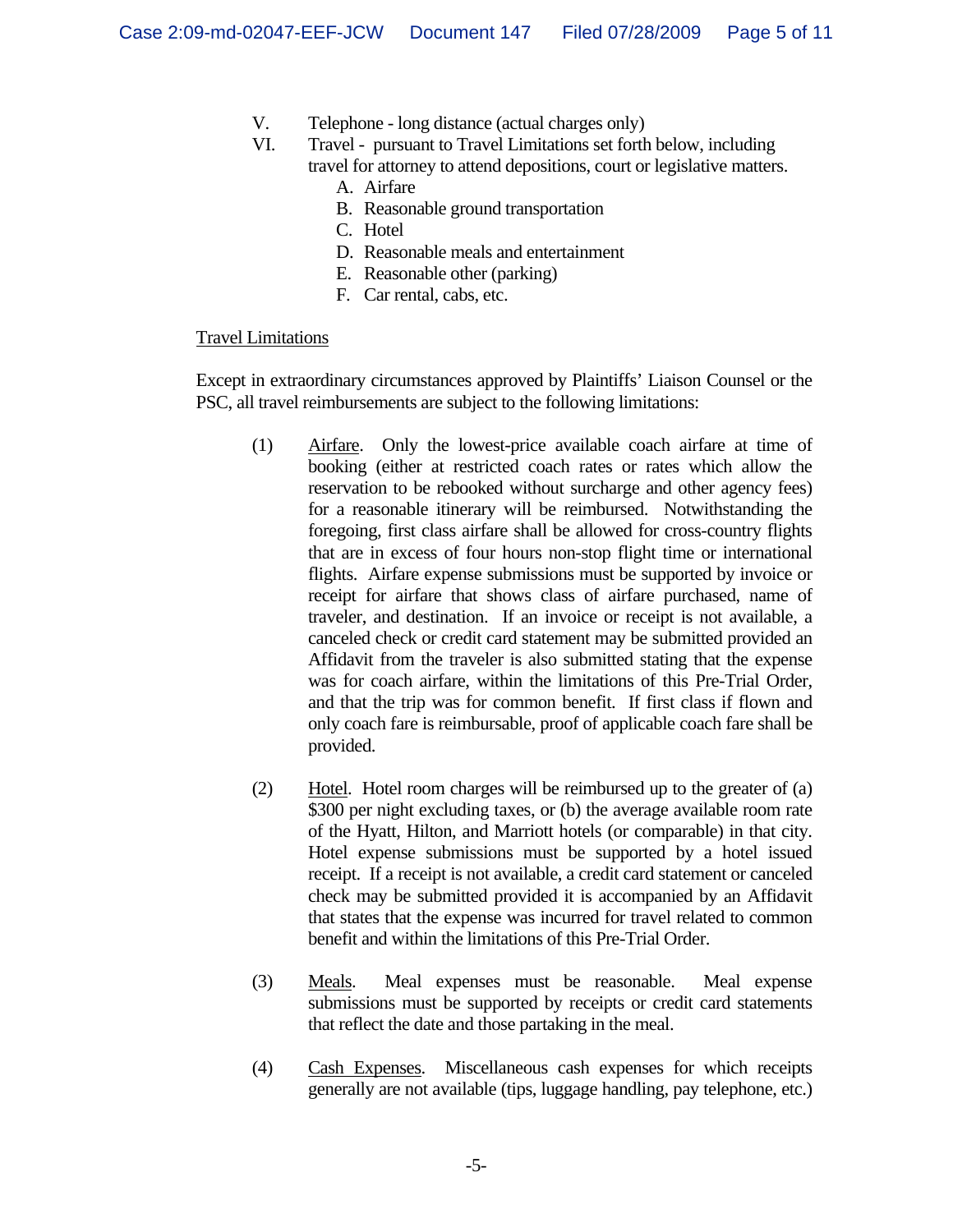- V. Telephone long distance (actual charges only)
- VI. Travel pursuant to Travel Limitations set forth below, including travel for attorney to attend depositions, court or legislative matters.
	- A. Airfare
	- B. Reasonable ground transportation
	- C. Hotel
	- D. Reasonable meals and entertainment
	- E. Reasonable other (parking)
	- F. Car rental, cabs, etc.

#### Travel Limitations

Except in extraordinary circumstances approved by Plaintiffs' Liaison Counsel or the PSC, all travel reimbursements are subject to the following limitations:

- (1) Airfare. Only the lowest-price available coach airfare at time of booking (either at restricted coach rates or rates which allow the reservation to be rebooked without surcharge and other agency fees) for a reasonable itinerary will be reimbursed. Notwithstanding the foregoing, first class airfare shall be allowed for cross-country flights that are in excess of four hours non-stop flight time or international flights. Airfare expense submissions must be supported by invoice or receipt for airfare that shows class of airfare purchased, name of traveler, and destination. If an invoice or receipt is not available, a canceled check or credit card statement may be submitted provided an Affidavit from the traveler is also submitted stating that the expense was for coach airfare, within the limitations of this Pre-Trial Order, and that the trip was for common benefit. If first class if flown and only coach fare is reimbursable, proof of applicable coach fare shall be provided.
- (2) Hotel. Hotel room charges will be reimbursed up to the greater of (a) \$300 per night excluding taxes, or (b) the average available room rate of the Hyatt, Hilton, and Marriott hotels (or comparable) in that city. Hotel expense submissions must be supported by a hotel issued receipt. If a receipt is not available, a credit card statement or canceled check may be submitted provided it is accompanied by an Affidavit that states that the expense was incurred for travel related to common benefit and within the limitations of this Pre-Trial Order.
- (3) Meals. Meal expenses must be reasonable. Meal expense submissions must be supported by receipts or credit card statements that reflect the date and those partaking in the meal.
- (4) Cash Expenses. Miscellaneous cash expenses for which receipts generally are not available (tips, luggage handling, pay telephone, etc.)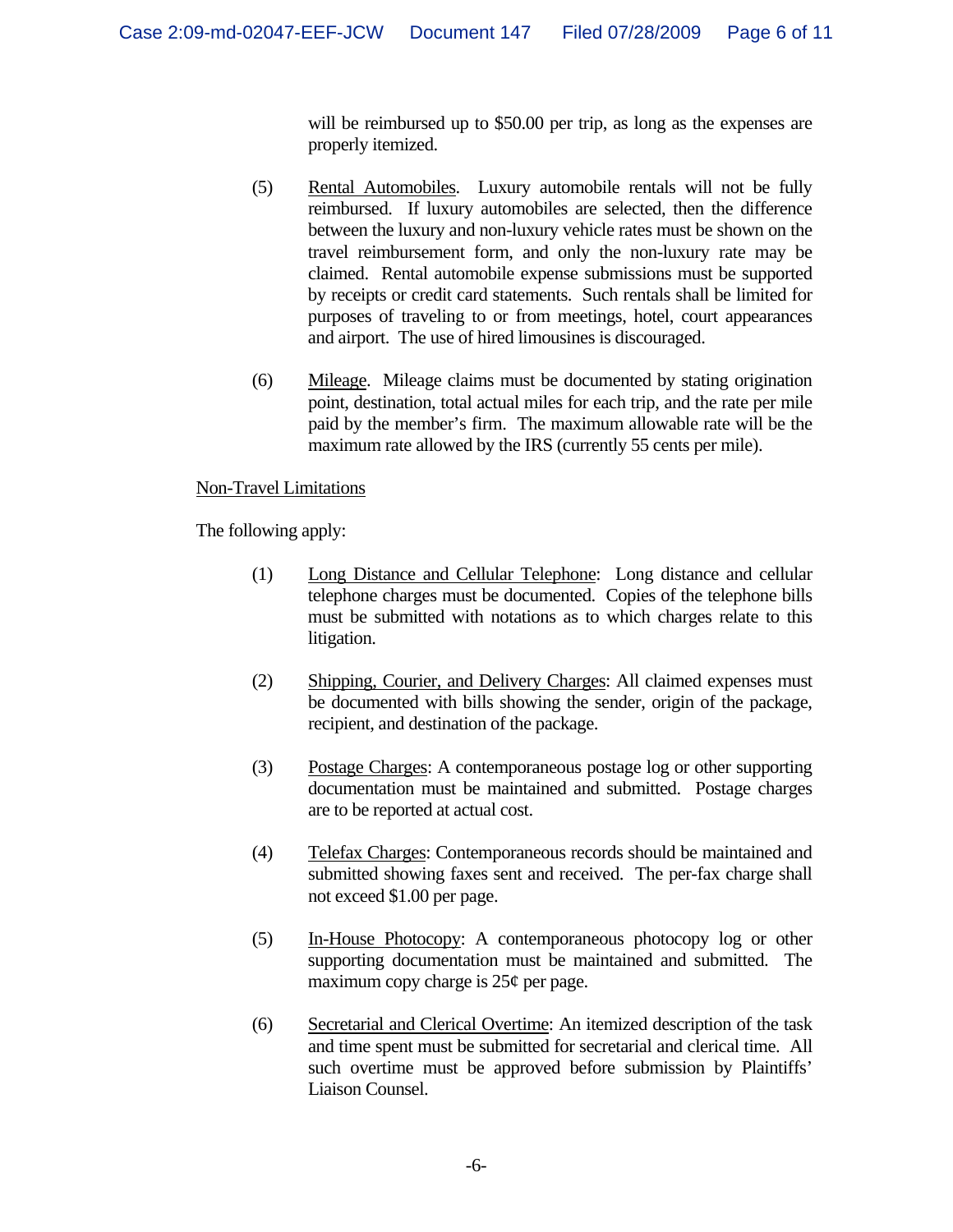will be reimbursed up to \$50.00 per trip, as long as the expenses are properly itemized.

- (5) Rental Automobiles. Luxury automobile rentals will not be fully reimbursed. If luxury automobiles are selected, then the difference between the luxury and non-luxury vehicle rates must be shown on the travel reimbursement form, and only the non-luxury rate may be claimed. Rental automobile expense submissions must be supported by receipts or credit card statements. Such rentals shall be limited for purposes of traveling to or from meetings, hotel, court appearances and airport. The use of hired limousines is discouraged.
- (6) Mileage. Mileage claims must be documented by stating origination point, destination, total actual miles for each trip, and the rate per mile paid by the member's firm. The maximum allowable rate will be the maximum rate allowed by the IRS (currently 55 cents per mile).

### Non-Travel Limitations

The following apply:

- (1) Long Distance and Cellular Telephone: Long distance and cellular telephone charges must be documented. Copies of the telephone bills must be submitted with notations as to which charges relate to this litigation.
- (2) Shipping, Courier, and Delivery Charges: All claimed expenses must be documented with bills showing the sender, origin of the package, recipient, and destination of the package.
- (3) Postage Charges: A contemporaneous postage log or other supporting documentation must be maintained and submitted. Postage charges are to be reported at actual cost.
- (4) Telefax Charges: Contemporaneous records should be maintained and submitted showing faxes sent and received. The per-fax charge shall not exceed \$1.00 per page.
- (5) In-House Photocopy: A contemporaneous photocopy log or other supporting documentation must be maintained and submitted. The maximum copy charge is  $25¢$  per page.
- (6) Secretarial and Clerical Overtime: An itemized description of the task and time spent must be submitted for secretarial and clerical time. All such overtime must be approved before submission by Plaintiffs' Liaison Counsel.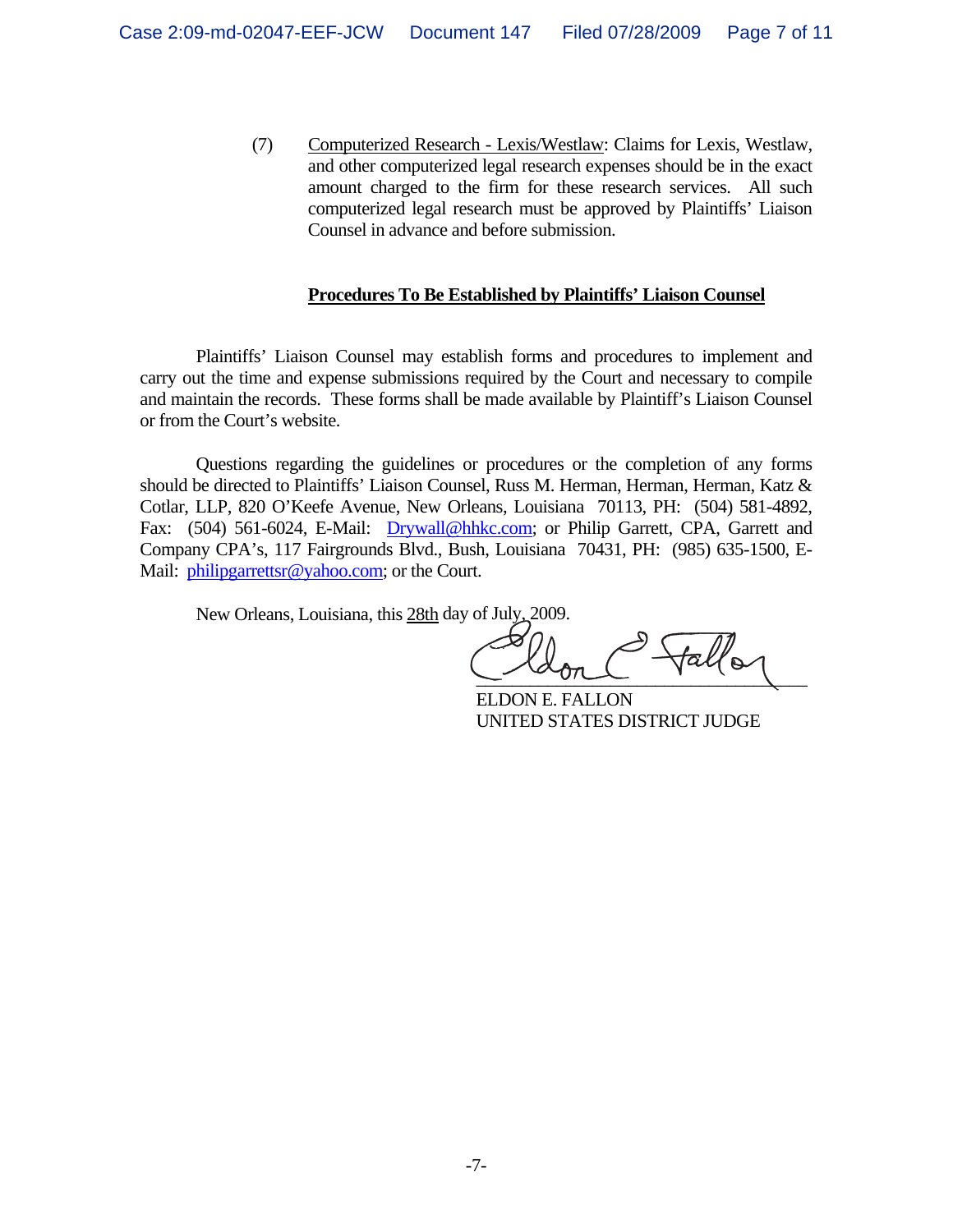(7) Computerized Research - Lexis/Westlaw: Claims for Lexis, Westlaw, and other computerized legal research expenses should be in the exact amount charged to the firm for these research services. All such computerized legal research must be approved by Plaintiffs' Liaison Counsel in advance and before submission.

#### **Procedures To Be Established by Plaintiffs' Liaison Counsel**

 Plaintiffs' Liaison Counsel may establish forms and procedures to implement and carry out the time and expense submissions required by the Court and necessary to compile and maintain the records. These forms shall be made available by Plaintiff's Liaison Counsel or from the Court's website.

 Questions regarding the guidelines or procedures or the completion of any forms should be directed to Plaintiffs' Liaison Counsel, Russ M. Herman, Herman, Herman, Katz & Cotlar, LLP, 820 O'Keefe Avenue, New Orleans, Louisiana 70113, PH: (504) 581-4892, Fax: (504) 561-6024, E-Mail: Drywall@hhkc.com; or Philip Garrett, CPA, Garrett and Company CPA's, 117 Fairgrounds Blvd., Bush, Louisiana 70431, PH: (985) 635-1500, E-Mail: philipgarrettsr@yahoo.com; or the Court.

New Orleans, Louisiana, this 28th day of July, 2009.

fall's  $\frac{1}{\sqrt{2}}$ 

 ELDON E. FALLON UNITED STATES DISTRICT JUDGE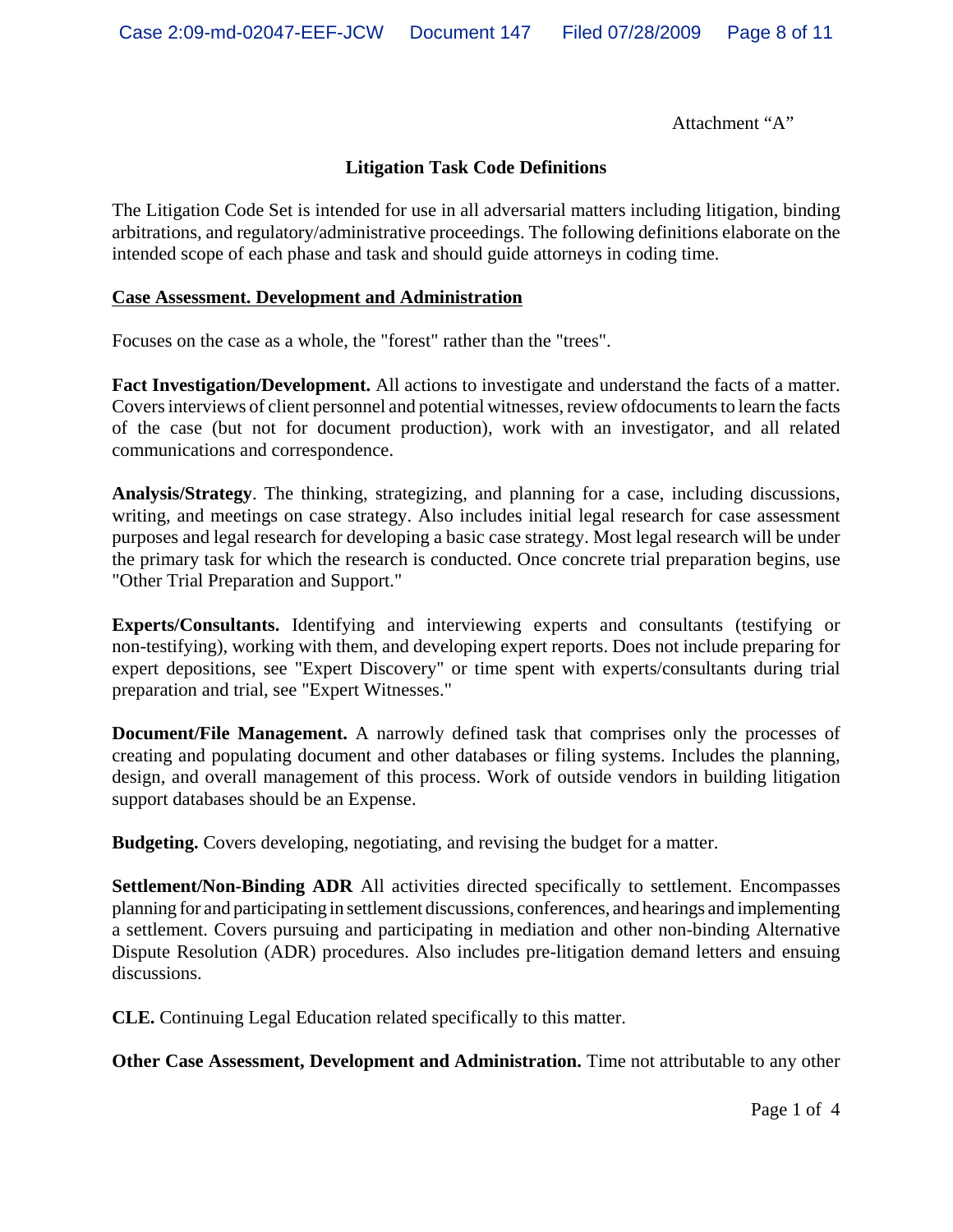Attachment "A"

### **Litigation Task Code Definitions**

The Litigation Code Set is intended for use in all adversarial matters including litigation, binding arbitrations, and regulatory/administrative proceedings. The following definitions elaborate on the intended scope of each phase and task and should guide attorneys in coding time.

#### **Case Assessment. Development and Administration**

Focuses on the case as a whole, the "forest" rather than the "trees".

**Fact Investigation/Development.** All actions to investigate and understand the facts of a matter. Covers interviews of client personnel and potential witnesses, review ofdocuments to learn the facts of the case (but not for document production), work with an investigator, and all related communications and correspondence.

**Analysis/Strategy**. The thinking, strategizing, and planning for a case, including discussions, writing, and meetings on case strategy. Also includes initial legal research for case assessment purposes and legal research for developing a basic case strategy. Most legal research will be under the primary task for which the research is conducted. Once concrete trial preparation begins, use "Other Trial Preparation and Support."

**Experts/Consultants.** Identifying and interviewing experts and consultants (testifying or non-testifying), working with them, and developing expert reports. Does not include preparing for expert depositions, see "Expert Discovery" or time spent with experts/consultants during trial preparation and trial, see "Expert Witnesses."

**Document/File Management.** A narrowly defined task that comprises only the processes of creating and populating document and other databases or filing systems. Includes the planning, design, and overall management of this process. Work of outside vendors in building litigation support databases should be an Expense.

**Budgeting.** Covers developing, negotiating, and revising the budget for a matter.

**Settlement/Non-Binding ADR** All activities directed specifically to settlement. Encompasses planning for and participating in settlement discussions, conferences, and hearings and implementing a settlement. Covers pursuing and participating in mediation and other non-binding Alternative Dispute Resolution (ADR) procedures. Also includes pre-litigation demand letters and ensuing discussions.

**CLE.** Continuing Legal Education related specifically to this matter.

**Other Case Assessment, Development and Administration.** Time not attributable to any other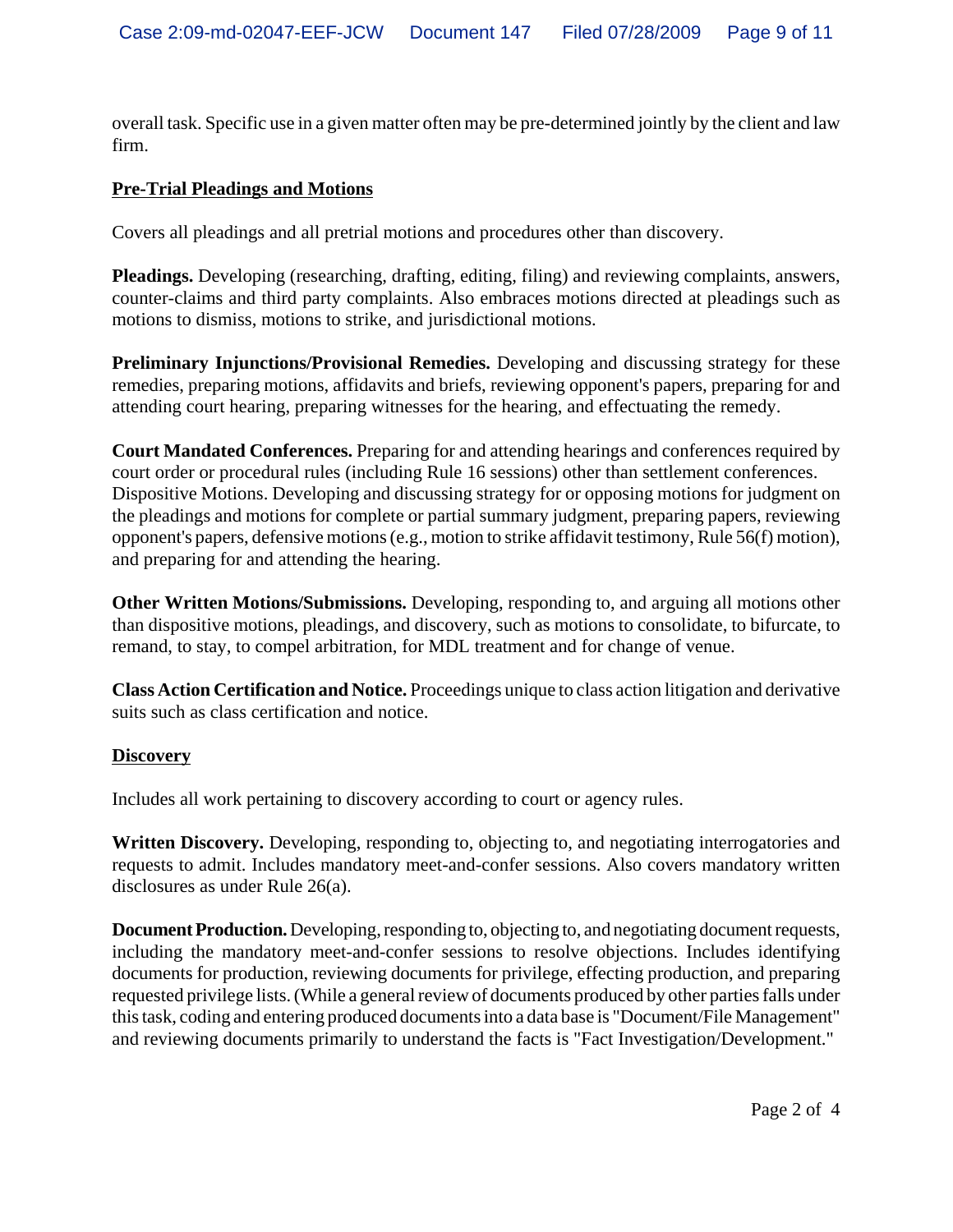overall task. Specific use in a given matter often may be pre-determined jointly by the client and law firm.

## **Pre-Trial Pleadings and Motions**

Covers all pleadings and all pretrial motions and procedures other than discovery.

**Pleadings.** Developing (researching, drafting, editing, filing) and reviewing complaints, answers, counter-claims and third party complaints. Also embraces motions directed at pleadings such as motions to dismiss, motions to strike, and jurisdictional motions.

**Preliminary Injunctions/Provisional Remedies.** Developing and discussing strategy for these remedies, preparing motions, affidavits and briefs, reviewing opponent's papers, preparing for and attending court hearing, preparing witnesses for the hearing, and effectuating the remedy.

**Court Mandated Conferences.** Preparing for and attending hearings and conferences required by court order or procedural rules (including Rule 16 sessions) other than settlement conferences. Dispositive Motions. Developing and discussing strategy for or opposing motions for judgment on the pleadings and motions for complete or partial summary judgment, preparing papers, reviewing opponent's papers, defensive motions (e.g., motion to strike affidavit testimony, Rule 56(f) motion), and preparing for and attending the hearing.

**Other Written Motions/Submissions.** Developing, responding to, and arguing all motions other than dispositive motions, pleadings, and discovery, such as motions to consolidate, to bifurcate, to remand, to stay, to compel arbitration, for MDL treatment and for change of venue.

**Class Action Certification and Notice.** Proceedings unique to class action litigation and derivative suits such as class certification and notice.

### **Discovery**

Includes all work pertaining to discovery according to court or agency rules.

**Written Discovery.** Developing, responding to, objecting to, and negotiating interrogatories and requests to admit. Includes mandatory meet-and-confer sessions. Also covers mandatory written disclosures as under Rule 26(a).

**Document Production.** Developing, responding to, objecting to, and negotiating document requests, including the mandatory meet-and-confer sessions to resolve objections. Includes identifying documents for production, reviewing documents for privilege, effecting production, and preparing requested privilege lists. (While a general review of documents produced by other parties falls under this task, coding and entering produced documents into a data base is "Document/File Management" and reviewing documents primarily to understand the facts is "Fact Investigation/Development."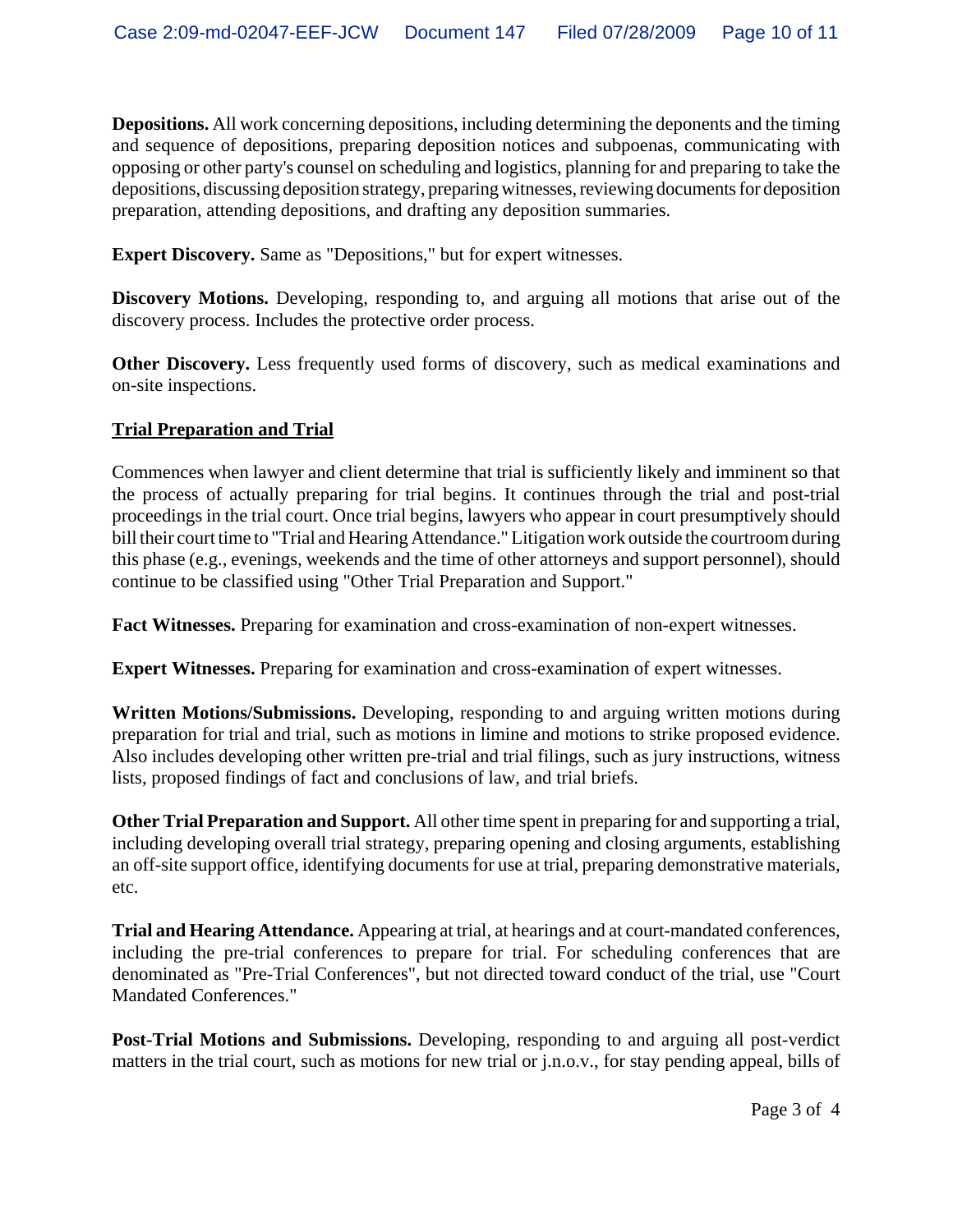**Depositions.** All work concerning depositions, including determining the deponents and the timing and sequence of depositions, preparing deposition notices and subpoenas, communicating with opposing or other party's counsel on scheduling and logistics, planning for and preparing to take the depositions, discussing deposition strategy, preparing witnesses, reviewing documents for deposition preparation, attending depositions, and drafting any deposition summaries.

**Expert Discovery.** Same as "Depositions," but for expert witnesses.

**Discovery Motions.** Developing, responding to, and arguing all motions that arise out of the discovery process. Includes the protective order process.

**Other Discovery.** Less frequently used forms of discovery, such as medical examinations and on-site inspections.

### **Trial Preparation and Trial**

Commences when lawyer and client determine that trial is sufficiently likely and imminent so that the process of actually preparing for trial begins. It continues through the trial and post-trial proceedings in the trial court. Once trial begins, lawyers who appear in court presumptively should bill their court time to "Trial and Hearing Attendance." Litigation work outside the courtroom during this phase (e.g., evenings, weekends and the time of other attorneys and support personnel), should continue to be classified using "Other Trial Preparation and Support."

**Fact Witnesses.** Preparing for examination and cross-examination of non-expert witnesses.

**Expert Witnesses.** Preparing for examination and cross-examination of expert witnesses.

**Written Motions/Submissions.** Developing, responding to and arguing written motions during preparation for trial and trial, such as motions in limine and motions to strike proposed evidence. Also includes developing other written pre-trial and trial filings, such as jury instructions, witness lists, proposed findings of fact and conclusions of law, and trial briefs.

**Other Trial Preparation and Support.** All other time spent in preparing for and supporting a trial, including developing overall trial strategy, preparing opening and closing arguments, establishing an off-site support office, identifying documents for use at trial, preparing demonstrative materials, etc.

**Trial and Hearing Attendance.** Appearing at trial, at hearings and at court-mandated conferences, including the pre-trial conferences to prepare for trial. For scheduling conferences that are denominated as "Pre-Trial Conferences", but not directed toward conduct of the trial, use "Court Mandated Conferences."

**Post-Trial Motions and Submissions.** Developing, responding to and arguing all post-verdict matters in the trial court, such as motions for new trial or j.n.o.v., for stay pending appeal, bills of